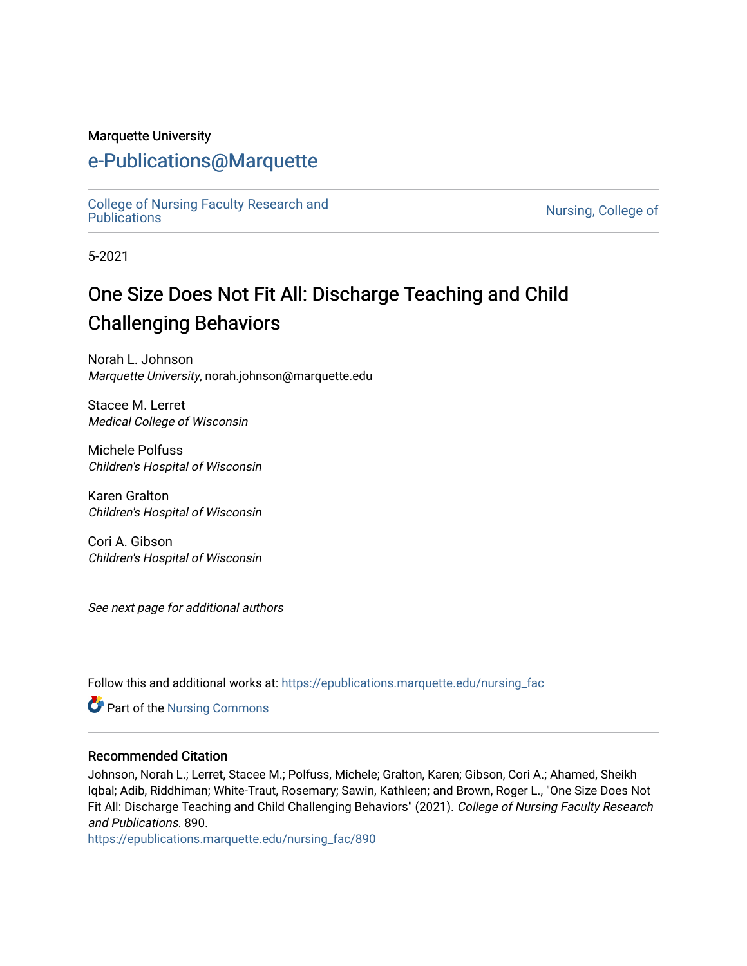#### Marquette University

## [e-Publications@Marquette](https://epublications.marquette.edu/)

[College of Nursing Faculty Research and](https://epublications.marquette.edu/nursing_fac)<br>Publications

Nursing, College of

5-2021

# One Size Does Not Fit All: Discharge Teaching and Child Challenging Behaviors

Norah L. Johnson Marquette University, norah.johnson@marquette.edu

Stacee M. Lerret Medical College of Wisconsin

Michele Polfuss Children's Hospital of Wisconsin

Karen Gralton Children's Hospital of Wisconsin

Cori A. Gibson Children's Hospital of Wisconsin

See next page for additional authors

Follow this and additional works at: [https://epublications.marquette.edu/nursing\\_fac](https://epublications.marquette.edu/nursing_fac?utm_source=epublications.marquette.edu%2Fnursing_fac%2F890&utm_medium=PDF&utm_campaign=PDFCoverPages)

Part of the [Nursing Commons](http://network.bepress.com/hgg/discipline/718?utm_source=epublications.marquette.edu%2Fnursing_fac%2F890&utm_medium=PDF&utm_campaign=PDFCoverPages) 

#### Recommended Citation

Johnson, Norah L.; Lerret, Stacee M.; Polfuss, Michele; Gralton, Karen; Gibson, Cori A.; Ahamed, Sheikh Iqbal; Adib, Riddhiman; White-Traut, Rosemary; Sawin, Kathleen; and Brown, Roger L., "One Size Does Not Fit All: Discharge Teaching and Child Challenging Behaviors" (2021). College of Nursing Faculty Research and Publications. 890.

[https://epublications.marquette.edu/nursing\\_fac/890](https://epublications.marquette.edu/nursing_fac/890?utm_source=epublications.marquette.edu%2Fnursing_fac%2F890&utm_medium=PDF&utm_campaign=PDFCoverPages)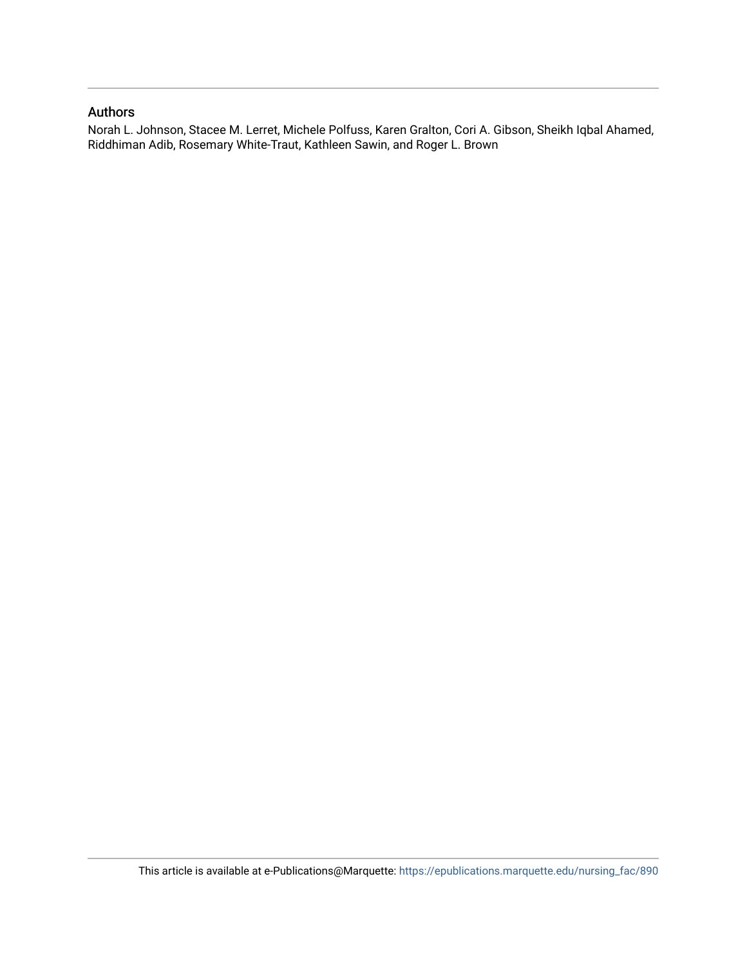#### Authors

Norah L. Johnson, Stacee M. Lerret, Michele Polfuss, Karen Gralton, Cori A. Gibson, Sheikh Iqbal Ahamed, Riddhiman Adib, Rosemary White-Traut, Kathleen Sawin, and Roger L. Brown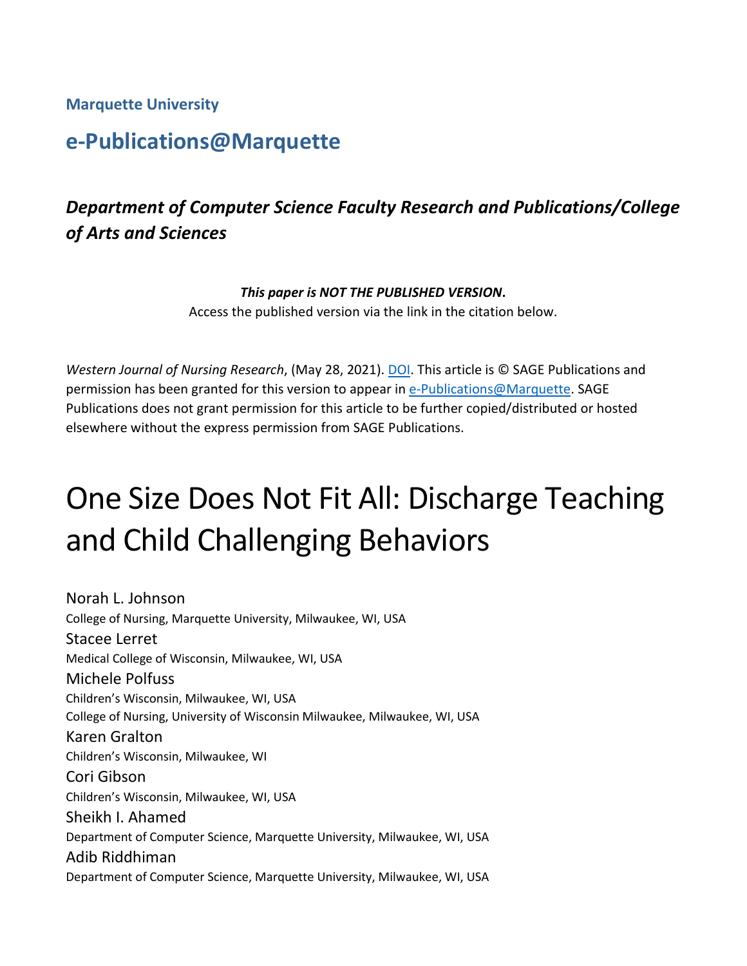**Marquette University**

# **e-Publications@Marquette**

# *Department of Computer Science Faculty Research and Publications/College of Arts and Sciences*

#### *This paper is NOT THE PUBLISHED VERSION***.**

Access the published version via the link in the citation below.

*Western Journal of Nursing Research*, (May 28, 2021). [DOI.](http://doi.org/10.1177/01939459211018829) This article is © SAGE Publications and permission has been granted for this version to appear in [e-Publications@Marquette.](http://epublications.marquette.edu/) SAGE Publications does not grant permission for this article to be further copied/distributed or hosted elsewhere without the express permission from SAGE Publications.

# One Size Does Not Fit All: Discharge Teaching and Child Challenging Behaviors

Norah L. Johnson College of Nursing, Marquette University, Milwaukee, WI, USA Stacee Lerret Medical College of Wisconsin, Milwaukee, WI, USA Michele Polfuss Children's Wisconsin, Milwaukee, WI, USA College of Nursing, University of Wisconsin Milwaukee, Milwaukee, WI, USA Karen Gralton Children's Wisconsin, Milwaukee, WI Cori Gibson Children's Wisconsin, Milwaukee, WI, USA Sheikh I. Ahamed Department of Computer Science, Marquette University, Milwaukee, WI, USA Adib Riddhiman Department of Computer Science, Marquette University, Milwaukee, WI, USA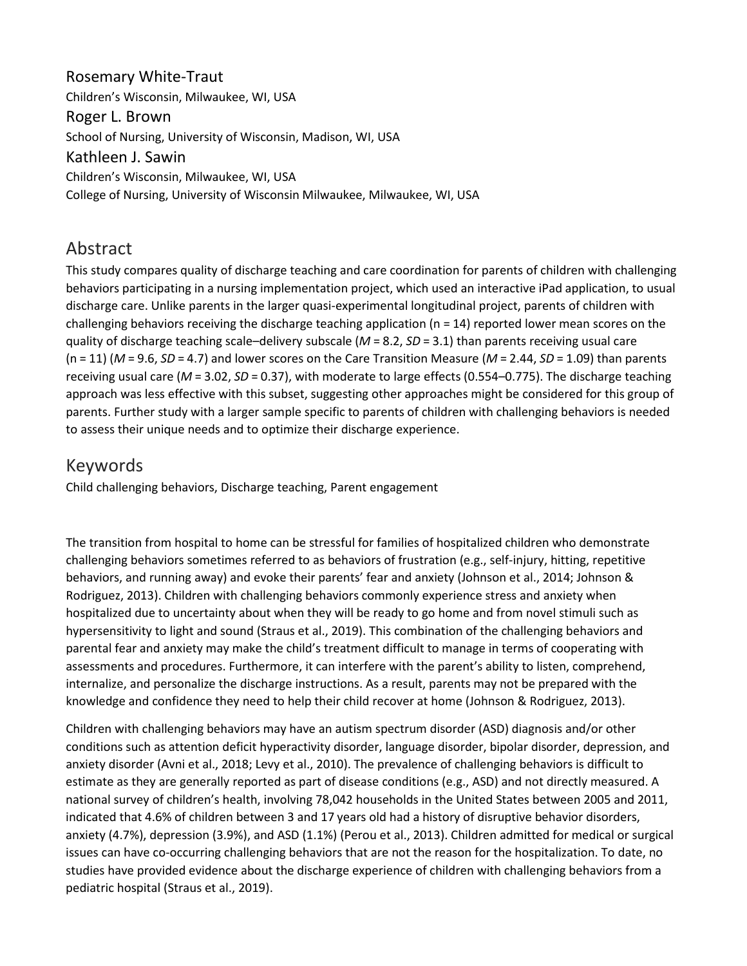Rosemary White-Traut Children's Wisconsin, Milwaukee, WI, USA Roger L. Brown School of Nursing, University of Wisconsin, Madison, WI, USA Kathleen J. Sawin Children's Wisconsin, Milwaukee, WI, USA College of Nursing, University of Wisconsin Milwaukee, Milwaukee, WI, USA

## Abstract

This study compares quality of discharge teaching and care coordination for parents of children with challenging behaviors participating in a nursing implementation project, which used an interactive iPad application, to usual discharge care. Unlike parents in the larger quasi-experimental longitudinal project, parents of children with challenging behaviors receiving the discharge teaching application ( $n = 14$ ) reported lower mean scores on the quality of discharge teaching scale–delivery subscale (*M* = 8.2, *SD* = 3.1) than parents receiving usual care (n = 11) (*M* = 9.6, *SD* = 4.7) and lower scores on the Care Transition Measure (*M* = 2.44, *SD* = 1.09) than parents receiving usual care (*M* = 3.02, *SD* = 0.37), with moderate to large effects (0.554–0.775). The discharge teaching approach was less effective with this subset, suggesting other approaches might be considered for this group of parents. Further study with a larger sample specific to parents of children with challenging behaviors is needed to assess their unique needs and to optimize their discharge experience.

## Keywords

Child challenging behaviors, Discharge teaching, Parent engagement

The transition from hospital to home can be stressful for families of hospitalized children who demonstrate challenging behaviors sometimes referred to as behaviors of frustration (e.g., self-injury, hitting, repetitive behaviors, and running away) and evoke their parents' fear and anxiety (Johnson et al., 2014; Johnson & Rodriguez, 2013). Children with challenging behaviors commonly experience stress and anxiety when hospitalized due to uncertainty about when they will be ready to go home and from novel stimuli such as hypersensitivity to light and sound (Straus et al., 2019). This combination of the challenging behaviors and parental fear and anxiety may make the child's treatment difficult to manage in terms of cooperating with assessments and procedures. Furthermore, it can interfere with the parent's ability to listen, comprehend, internalize, and personalize the discharge instructions. As a result, parents may not be prepared with the knowledge and confidence they need to help their child recover at home (Johnson & Rodriguez, 2013).

Children with challenging behaviors may have an autism spectrum disorder (ASD) diagnosis and/or other conditions such as attention deficit hyperactivity disorder, language disorder, bipolar disorder, depression, and anxiety disorder (Avni et al., 2018; Levy et al., 2010). The prevalence of challenging behaviors is difficult to estimate as they are generally reported as part of disease conditions (e.g., ASD) and not directly measured. A national survey of children's health, involving 78,042 households in the United States between 2005 and 2011, indicated that 4.6% of children between 3 and 17 years old had a history of disruptive behavior disorders, anxiety (4.7%), depression (3.9%), and ASD (1.1%) (Perou et al., 2013). Children admitted for medical or surgical issues can have co-occurring challenging behaviors that are not the reason for the hospitalization. To date, no studies have provided evidence about the discharge experience of children with challenging behaviors from a pediatric hospital (Straus et al., 2019).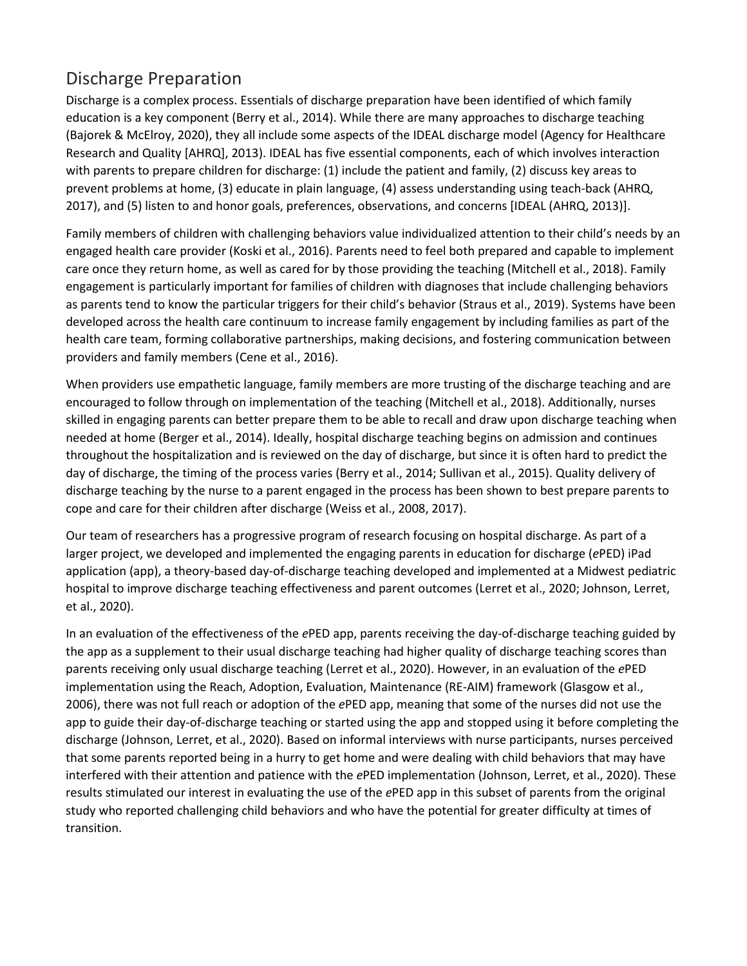# Discharge Preparation

Discharge is a complex process. Essentials of discharge preparation have been identified of which family education is a key component (Berry et al., 2014). While there are many approaches to discharge teaching (Bajorek & McElroy, 2020), they all include some aspects of the IDEAL discharge model (Agency for Healthcare Research and Quality [AHRQ], 2013). IDEAL has five essential components, each of which involves interaction with parents to prepare children for discharge: (1) include the patient and family, (2) discuss key areas to prevent problems at home, (3) educate in plain language, (4) assess understanding using teach-back (AHRQ, 2017), and (5) listen to and honor goals, preferences, observations, and concerns [IDEAL (AHRQ, 2013)].

Family members of children with challenging behaviors value individualized attention to their child's needs by an engaged health care provider (Koski et al., 2016). Parents need to feel both prepared and capable to implement care once they return home, as well as cared for by those providing the teaching (Mitchell et al., 2018). Family engagement is particularly important for families of children with diagnoses that include challenging behaviors as parents tend to know the particular triggers for their child's behavior (Straus et al., 2019). Systems have been developed across the health care continuum to increase family engagement by including families as part of the health care team, forming collaborative partnerships, making decisions, and fostering communication between providers and family members (Cene et al., 2016).

When providers use empathetic language, family members are more trusting of the discharge teaching and are encouraged to follow through on implementation of the teaching (Mitchell et al., 2018). Additionally, nurses skilled in engaging parents can better prepare them to be able to recall and draw upon discharge teaching when needed at home (Berger et al., 2014). Ideally, hospital discharge teaching begins on admission and continues throughout the hospitalization and is reviewed on the day of discharge, but since it is often hard to predict the day of discharge, the timing of the process varies (Berry et al., 2014; Sullivan et al., 2015). Quality delivery of discharge teaching by the nurse to a parent engaged in the process has been shown to best prepare parents to cope and care for their children after discharge (Weiss et al., 2008, 2017).

Our team of researchers has a progressive program of research focusing on hospital discharge. As part of a larger project, we developed and implemented the engaging parents in education for discharge (*e*PED) iPad application (app), a theory-based day-of-discharge teaching developed and implemented at a Midwest pediatric hospital to improve discharge teaching effectiveness and parent outcomes (Lerret et al., 2020; Johnson, Lerret, et al., 2020).

In an evaluation of the effectiveness of the *e*PED app, parents receiving the day-of-discharge teaching guided by the app as a supplement to their usual discharge teaching had higher quality of discharge teaching scores than parents receiving only usual discharge teaching (Lerret et al., 2020). However, in an evaluation of the *e*PED implementation using the Reach, Adoption, Evaluation, Maintenance (RE-AIM) framework (Glasgow et al., 2006), there was not full reach or adoption of the *e*PED app, meaning that some of the nurses did not use the app to guide their day-of-discharge teaching or started using the app and stopped using it before completing the discharge (Johnson, Lerret, et al., 2020). Based on informal interviews with nurse participants, nurses perceived that some parents reported being in a hurry to get home and were dealing with child behaviors that may have interfered with their attention and patience with the *e*PED implementation (Johnson, Lerret, et al., 2020). These results stimulated our interest in evaluating the use of the *e*PED app in this subset of parents from the original study who reported challenging child behaviors and who have the potential for greater difficulty at times of transition.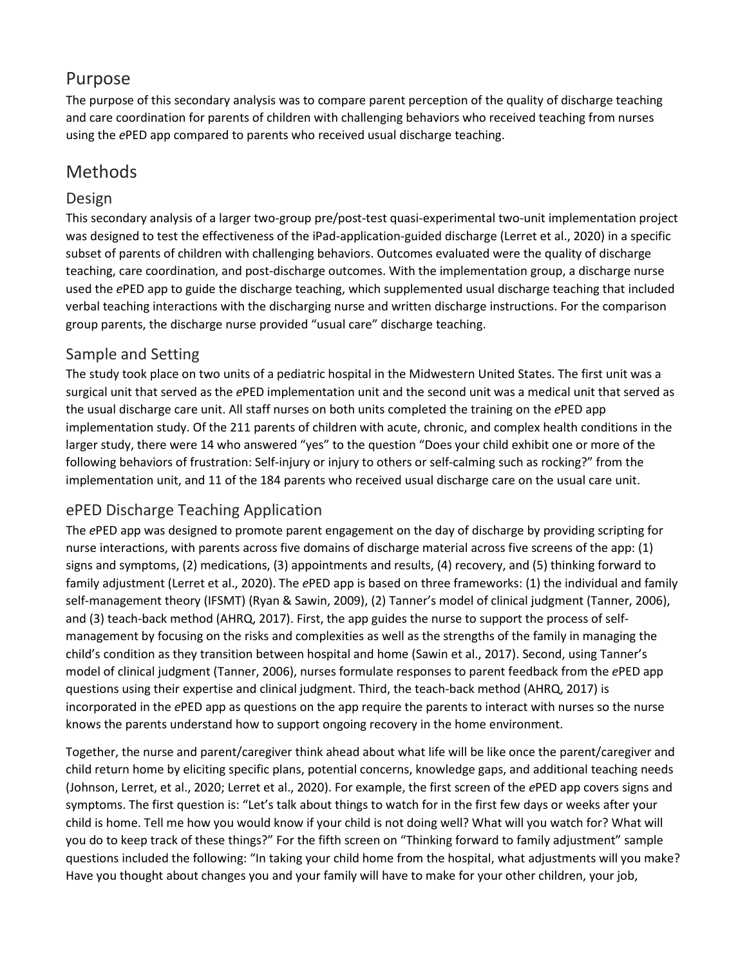## Purpose

The purpose of this secondary analysis was to compare parent perception of the quality of discharge teaching and care coordination for parents of children with challenging behaviors who received teaching from nurses using the *e*PED app compared to parents who received usual discharge teaching.

## Methods

#### Design

This secondary analysis of a larger two-group pre/post-test quasi-experimental two-unit implementation project was designed to test the effectiveness of the iPad-application-guided discharge (Lerret et al., 2020) in a specific subset of parents of children with challenging behaviors. Outcomes evaluated were the quality of discharge teaching, care coordination, and post-discharge outcomes. With the implementation group, a discharge nurse used the *e*PED app to guide the discharge teaching, which supplemented usual discharge teaching that included verbal teaching interactions with the discharging nurse and written discharge instructions. For the comparison group parents, the discharge nurse provided "usual care" discharge teaching.

## Sample and Setting

The study took place on two units of a pediatric hospital in the Midwestern United States. The first unit was a surgical unit that served as the *e*PED implementation unit and the second unit was a medical unit that served as the usual discharge care unit. All staff nurses on both units completed the training on the *e*PED app implementation study. Of the 211 parents of children with acute, chronic, and complex health conditions in the larger study, there were 14 who answered "yes" to the question "Does your child exhibit one or more of the following behaviors of frustration: Self-injury or injury to others or self-calming such as rocking?" from the implementation unit, and 11 of the 184 parents who received usual discharge care on the usual care unit.

## ePED Discharge Teaching Application

The *e*PED app was designed to promote parent engagement on the day of discharge by providing scripting for nurse interactions, with parents across five domains of discharge material across five screens of the app: (1) signs and symptoms, (2) medications, (3) appointments and results, (4) recovery, and (5) thinking forward to family adjustment (Lerret et al., 2020). The *e*PED app is based on three frameworks: (1) the individual and family self-management theory (IFSMT) (Ryan & Sawin, 2009), (2) Tanner's model of clinical judgment (Tanner, 2006), and (3) teach-back method (AHRQ, 2017). First, the app guides the nurse to support the process of selfmanagement by focusing on the risks and complexities as well as the strengths of the family in managing the child's condition as they transition between hospital and home (Sawin et al., 2017). Second, using Tanner's model of clinical judgment (Tanner, 2006), nurses formulate responses to parent feedback from the *e*PED app questions using their expertise and clinical judgment. Third, the teach-back method (AHRQ, 2017) is incorporated in the *e*PED app as questions on the app require the parents to interact with nurses so the nurse knows the parents understand how to support ongoing recovery in the home environment.

Together, the nurse and parent/caregiver think ahead about what life will be like once the parent/caregiver and child return home by eliciting specific plans, potential concerns, knowledge gaps, and additional teaching needs (Johnson, Lerret, et al., 2020; Lerret et al., 2020). For example, the first screen of the *e*PED app covers signs and symptoms. The first question is: "Let's talk about things to watch for in the first few days or weeks after your child is home. Tell me how you would know if your child is not doing well? What will you watch for? What will you do to keep track of these things?" For the fifth screen on "Thinking forward to family adjustment" sample questions included the following: "In taking your child home from the hospital, what adjustments will you make? Have you thought about changes you and your family will have to make for your other children, your job,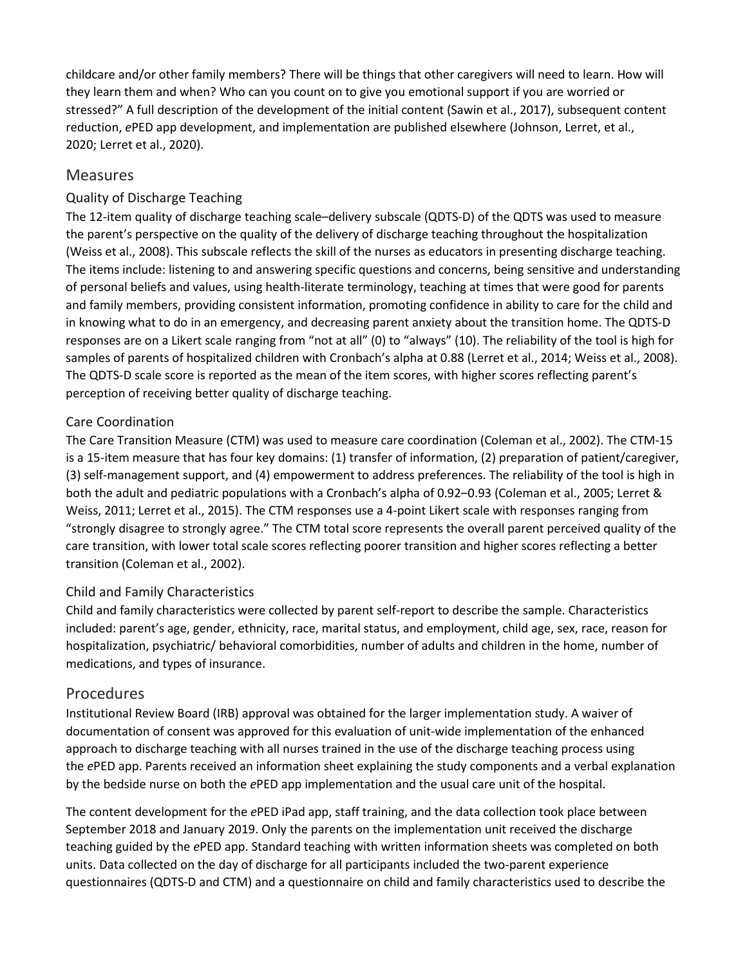childcare and/or other family members? There will be things that other caregivers will need to learn. How will they learn them and when? Who can you count on to give you emotional support if you are worried or stressed?" A full description of the development of the initial content (Sawin et al., 2017), subsequent content reduction, *e*PED app development, and implementation are published elsewhere (Johnson, Lerret, et al., 2020; Lerret et al., 2020).

#### Measures

#### Quality of Discharge Teaching

The 12-item quality of discharge teaching scale–delivery subscale (QDTS-D) of the QDTS was used to measure the parent's perspective on the quality of the delivery of discharge teaching throughout the hospitalization (Weiss et al., 2008). This subscale reflects the skill of the nurses as educators in presenting discharge teaching. The items include: listening to and answering specific questions and concerns, being sensitive and understanding of personal beliefs and values, using health-literate terminology, teaching at times that were good for parents and family members, providing consistent information, promoting confidence in ability to care for the child and in knowing what to do in an emergency, and decreasing parent anxiety about the transition home. The QDTS-D responses are on a Likert scale ranging from "not at all" (0) to "always" (10). The reliability of the tool is high for samples of parents of hospitalized children with Cronbach's alpha at 0.88 (Lerret et al., 2014; Weiss et al., 2008). The QDTS-D scale score is reported as the mean of the item scores, with higher scores reflecting parent's perception of receiving better quality of discharge teaching.

#### Care Coordination

The Care Transition Measure (CTM) was used to measure care coordination (Coleman et al., 2002). The CTM-15 is a 15-item measure that has four key domains: (1) transfer of information, (2) preparation of patient/caregiver, (3) self-management support, and (4) empowerment to address preferences. The reliability of the tool is high in both the adult and pediatric populations with a Cronbach's alpha of 0.92–0.93 (Coleman et al., 2005; Lerret & Weiss, 2011; Lerret et al., 2015). The CTM responses use a 4-point Likert scale with responses ranging from "strongly disagree to strongly agree." The CTM total score represents the overall parent perceived quality of the care transition, with lower total scale scores reflecting poorer transition and higher scores reflecting a better transition (Coleman et al., 2002).

#### Child and Family Characteristics

Child and family characteristics were collected by parent self-report to describe the sample. Characteristics included: parent's age, gender, ethnicity, race, marital status, and employment, child age, sex, race, reason for hospitalization, psychiatric/ behavioral comorbidities, number of adults and children in the home, number of medications, and types of insurance.

#### Procedures

Institutional Review Board (IRB) approval was obtained for the larger implementation study. A waiver of documentation of consent was approved for this evaluation of unit-wide implementation of the enhanced approach to discharge teaching with all nurses trained in the use of the discharge teaching process using the *e*PED app. Parents received an information sheet explaining the study components and a verbal explanation by the bedside nurse on both the *e*PED app implementation and the usual care unit of the hospital.

The content development for the *e*PED iPad app, staff training, and the data collection took place between September 2018 and January 2019. Only the parents on the implementation unit received the discharge teaching guided by the *e*PED app. Standard teaching with written information sheets was completed on both units. Data collected on the day of discharge for all participants included the two-parent experience questionnaires (QDTS-D and CTM) and a questionnaire on child and family characteristics used to describe the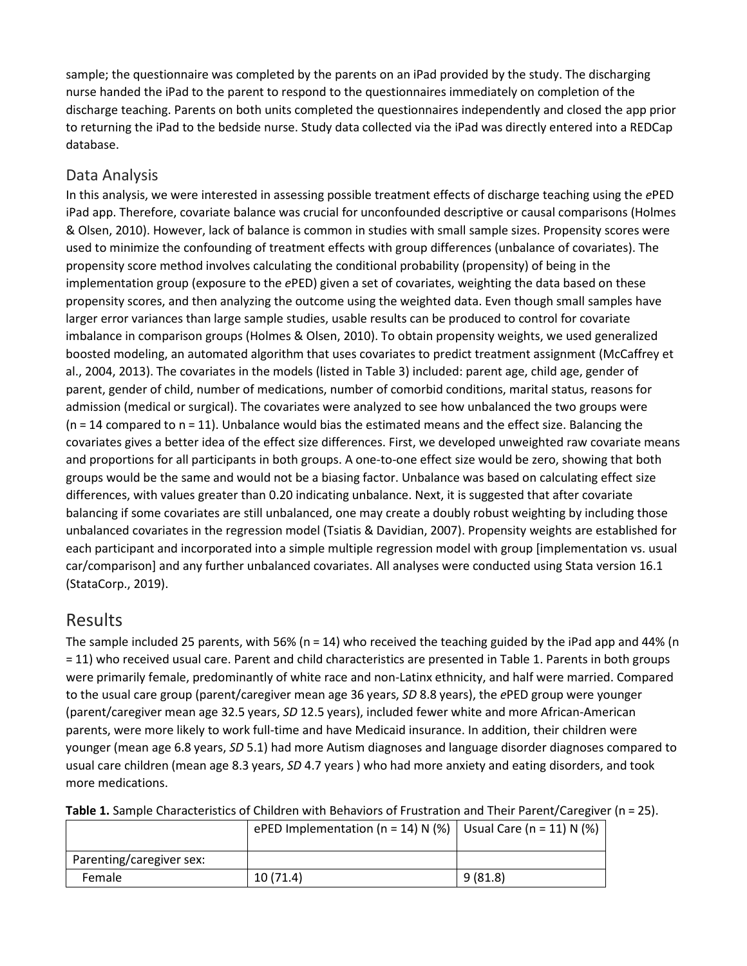sample; the questionnaire was completed by the parents on an iPad provided by the study. The discharging nurse handed the iPad to the parent to respond to the questionnaires immediately on completion of the discharge teaching. Parents on both units completed the questionnaires independently and closed the app prior to returning the iPad to the bedside nurse. Study data collected via the iPad was directly entered into a REDCap database.

#### Data Analysis

In this analysis, we were interested in assessing possible treatment effects of discharge teaching using the *e*PED iPad app. Therefore, covariate balance was crucial for unconfounded descriptive or causal comparisons (Holmes & Olsen, 2010). However, lack of balance is common in studies with small sample sizes. Propensity scores were used to minimize the confounding of treatment effects with group differences (unbalance of covariates). The propensity score method involves calculating the conditional probability (propensity) of being in the implementation group (exposure to the *e*PED) given a set of covariates, weighting the data based on these propensity scores, and then analyzing the outcome using the weighted data. Even though small samples have larger error variances than large sample studies, usable results can be produced to control for covariate imbalance in comparison groups (Holmes & Olsen, 2010). To obtain propensity weights, we used generalized boosted modeling, an automated algorithm that uses covariates to predict treatment assignment (McCaffrey et al., 2004, 2013). The covariates in the models (listed in Table 3) included: parent age, child age, gender of parent, gender of child, number of medications, number of comorbid conditions, marital status, reasons for admission (medical or surgical). The covariates were analyzed to see how unbalanced the two groups were (n = 14 compared to n = 11). Unbalance would bias the estimated means and the effect size. Balancing the covariates gives a better idea of the effect size differences. First, we developed unweighted raw covariate means and proportions for all participants in both groups. A one-to-one effect size would be zero, showing that both groups would be the same and would not be a biasing factor. Unbalance was based on calculating effect size differences, with values greater than 0.20 indicating unbalance. Next, it is suggested that after covariate balancing if some covariates are still unbalanced, one may create a doubly robust weighting by including those unbalanced covariates in the regression model (Tsiatis & Davidian, 2007). Propensity weights are established for each participant and incorporated into a simple multiple regression model with group [implementation vs. usual car/comparison] and any further unbalanced covariates. All analyses were conducted using Stata version 16.1 (StataCorp., 2019).

## Results

The sample included 25 parents, with 56% (n = 14) who received the teaching guided by the iPad app and 44% (n = 11) who received usual care. Parent and child characteristics are presented in Table 1. Parents in both groups were primarily female, predominantly of white race and non-Latinx ethnicity, and half were married. Compared to the usual care group (parent/caregiver mean age 36 years, *SD* 8.8 years), the *e*PED group were younger (parent/caregiver mean age 32.5 years, *SD* 12.5 years), included fewer white and more African-American parents, were more likely to work full-time and have Medicaid insurance. In addition, their children were younger (mean age 6.8 years, *SD* 5.1) had more Autism diagnoses and language disorder diagnoses compared to usual care children (mean age 8.3 years, *SD* 4.7 years ) who had more anxiety and eating disorders, and took more medications.

|                          | ePED Implementation (n = 14) N (%)   Usual Care (n = 11) N (%) |         |
|--------------------------|----------------------------------------------------------------|---------|
| Parenting/caregiver sex: |                                                                |         |
| Female                   | 10(71.4)                                                       | 9(81.8) |

**Table 1.** Sample Characteristics of Children with Behaviors of Frustration and Their Parent/Caregiver (n = 25).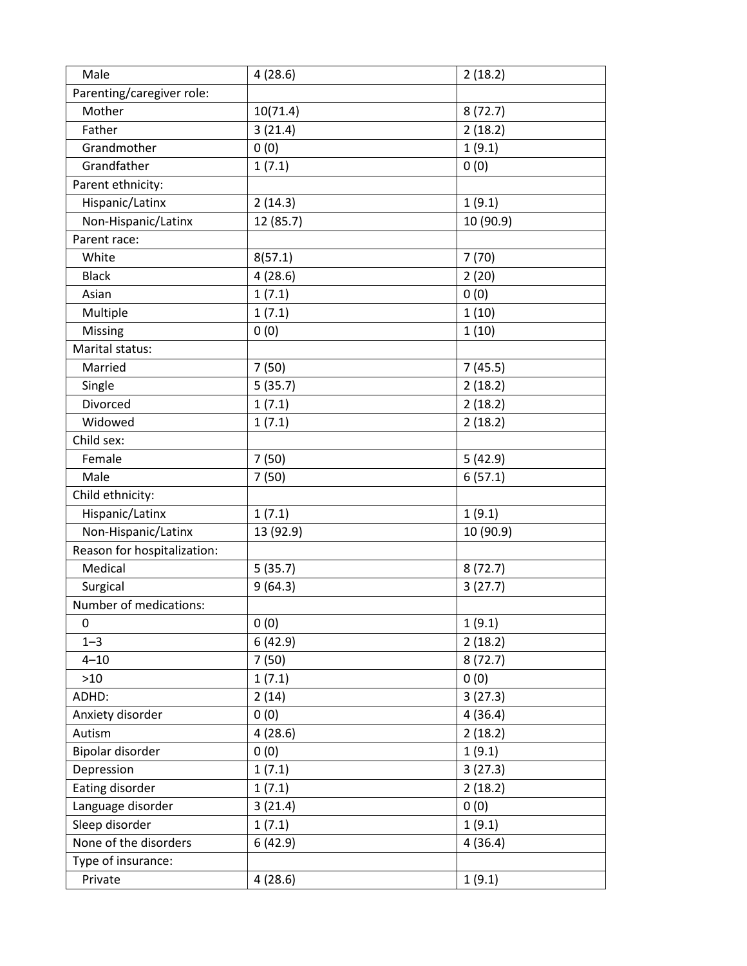| Male                        | 4(28.6)   | 2(18.2)   |
|-----------------------------|-----------|-----------|
| Parenting/caregiver role:   |           |           |
| Mother                      | 10(71.4)  | 8(72.7)   |
| Father                      | 3(21.4)   | 2(18.2)   |
| Grandmother                 | 0(0)      | 1(9.1)    |
| Grandfather                 | 1(7.1)    | 0(0)      |
| Parent ethnicity:           |           |           |
| Hispanic/Latinx             | 2(14.3)   | 1(9.1)    |
| Non-Hispanic/Latinx         | 12 (85.7) | 10 (90.9) |
| Parent race:                |           |           |
| White                       | 8(57.1)   | 7(70)     |
| <b>Black</b>                | 4(28.6)   | 2(20)     |
| Asian                       | 1(7.1)    | 0(0)      |
| Multiple                    | 1(7.1)    | 1(10)     |
| Missing                     | 0(0)      | 1(10)     |
| Marital status:             |           |           |
| Married                     | 7(50)     | 7(45.5)   |
| Single                      | 5(35.7)   | 2(18.2)   |
| Divorced                    | 1(7.1)    | 2(18.2)   |
| Widowed                     | 1(7.1)    | 2(18.2)   |
| Child sex:                  |           |           |
| Female                      | 7(50)     | 5(42.9)   |
| Male                        | 7(50)     | 6(57.1)   |
| Child ethnicity:            |           |           |
| Hispanic/Latinx             | 1(7.1)    | 1(9.1)    |
| Non-Hispanic/Latinx         | 13 (92.9) | 10 (90.9) |
| Reason for hospitalization: |           |           |
| Medical                     | 5(35.7)   | 8(72.7)   |
| Surgical                    | 9(64.3)   | 3(27.7)   |
| Number of medications:      |           |           |
| 0                           | 0(0)      | 1(9.1)    |
| $1 - 3$                     | 6(42.9)   | 2(18.2)   |
| $4 - 10$                    | 7(50)     | 8(72.7)   |
| $>10$                       | 1(7.1)    | 0(0)      |
| ADHD:                       | 2(14)     | 3(27.3)   |
| Anxiety disorder            | 0(0)      | 4(36.4)   |
| Autism                      | 4(28.6)   | 2(18.2)   |
| Bipolar disorder            | 0(0)      | 1(9.1)    |
| Depression                  | 1(7.1)    | 3(27.3)   |
| Eating disorder             | 1(7.1)    | 2(18.2)   |
| Language disorder           | 3(21.4)   | 0(0)      |
| Sleep disorder              | 1(7.1)    | 1(9.1)    |
| None of the disorders       | 6(42.9)   | 4(36.4)   |
| Type of insurance:          |           |           |
| Private                     | 4(28.6)   | 1(9.1)    |
|                             |           |           |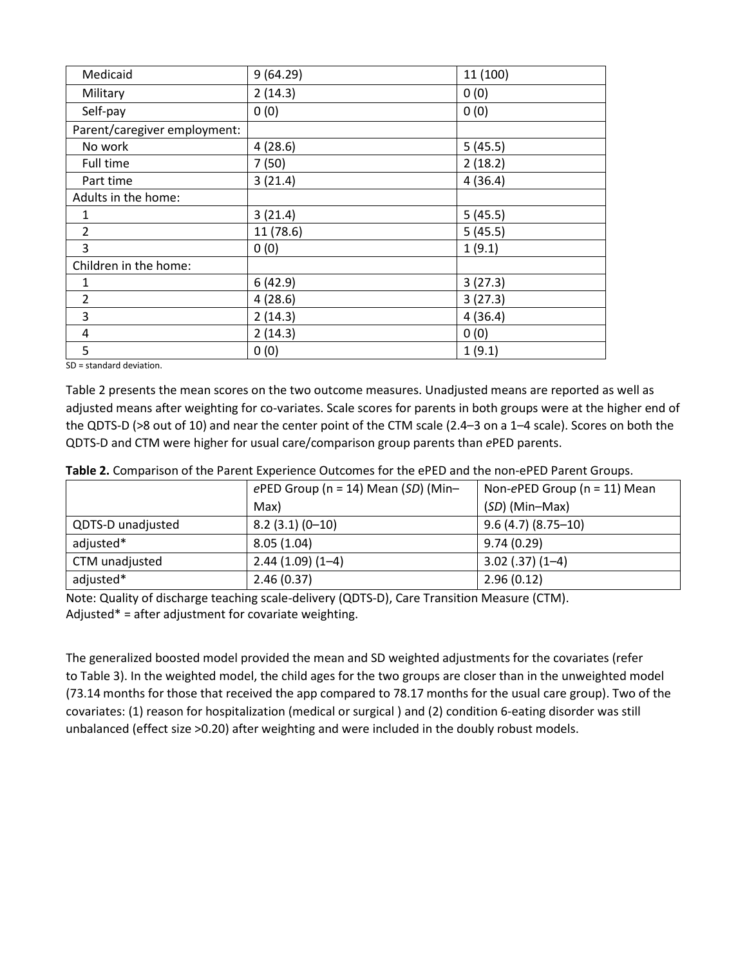| Medicaid                     | 9(64.29)  | 11 (100) |
|------------------------------|-----------|----------|
| Military                     | 2(14.3)   | 0(0)     |
| Self-pay                     | 0(0)      | 0(0)     |
| Parent/caregiver employment: |           |          |
| No work                      | 4(28.6)   | 5(45.5)  |
| Full time                    | 7(50)     | 2(18.2)  |
| Part time                    | 3(21.4)   | 4(36.4)  |
| Adults in the home:          |           |          |
| 1                            | 3(21.4)   | 5(45.5)  |
| $\overline{2}$               | 11 (78.6) | 5(45.5)  |
| 3                            | 0(0)      | 1(9.1)   |
| Children in the home:        |           |          |
| $\mathbf{1}$                 | 6(42.9)   | 3(27.3)  |
| $\overline{2}$               | 4(28.6)   | 3(27.3)  |
| 3                            | 2(14.3)   | 4(36.4)  |
| 4                            | 2(14.3)   | 0(0)     |
| 5                            | 0(0)      | 1(9.1)   |

SD = standard deviation.

Table 2 presents the mean scores on the two outcome measures. Unadjusted means are reported as well as adjusted means after weighting for co-variates. Scale scores for parents in both groups were at the higher end of the QDTS-D (>8 out of 10) and near the center point of the CTM scale (2.4–3 on a 1–4 scale). Scores on both the QDTS-D and CTM were higher for usual care/comparison group parents than *e*PED parents.

|                   | ePED Group ( $n = 14$ ) Mean (SD) (Min- | Non-ePED Group ( $n = 11$ ) Mean |
|-------------------|-----------------------------------------|----------------------------------|
|                   | Max)                                    | (SD) (Min-Max)                   |
| QDTS-D unadjusted | $8.2(3.1)(0-10)$                        | $9.6(4.7)(8.75-10)$              |
| adjusted*         | 8.05(1.04)                              | 9.74(0.29)                       |
| CTM unadjusted    | $2.44(1.09)(1-4)$                       | $3.02$ (.37) (1-4)               |
| adjusted*         | 2.46(0.37)                              | 2.96(0.12)                       |

**Table 2.** Comparison of the Parent Experience Outcomes for the ePED and the non-ePED Parent Groups.

Note: Quality of discharge teaching scale-delivery (QDTS-D), Care Transition Measure (CTM). Adjusted\* = after adjustment for covariate weighting.

The generalized boosted model provided the mean and SD weighted adjustments for the covariates (refer to Table 3). In the weighted model, the child ages for the two groups are closer than in the unweighted model (73.14 months for those that received the app compared to 78.17 months for the usual care group). Two of the covariates: (1) reason for hospitalization (medical or surgical ) and (2) condition 6-eating disorder was still unbalanced (effect size >0.20) after weighting and were included in the doubly robust models.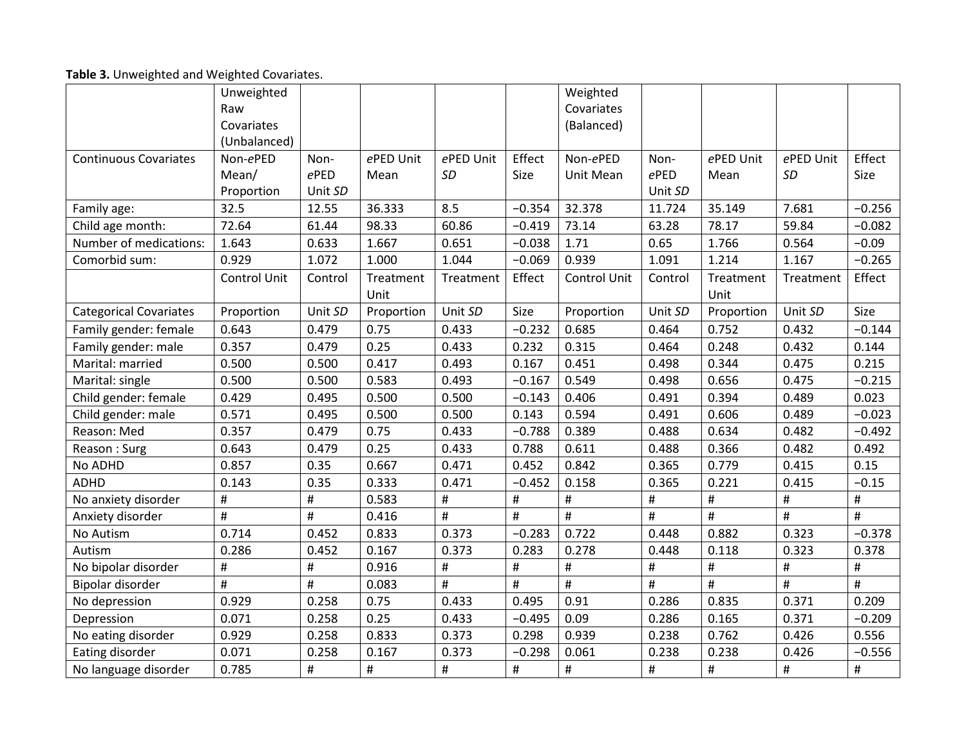| Table 3. Unweighted and Weighted Covariates. |  |  |
|----------------------------------------------|--|--|
|----------------------------------------------|--|--|

|                               | Unweighted          |         |                |           |          | Weighted            |         |            |           |          |
|-------------------------------|---------------------|---------|----------------|-----------|----------|---------------------|---------|------------|-----------|----------|
|                               | Raw                 |         |                |           |          | Covariates          |         |            |           |          |
|                               | Covariates          |         |                |           |          | (Balanced)          |         |            |           |          |
|                               | (Unbalanced)        |         |                |           |          |                     |         |            |           |          |
| <b>Continuous Covariates</b>  | Non-ePED            | Non-    | ePED Unit      | ePED Unit | Effect   | Non-ePED            | Non-    | ePED Unit  | ePED Unit | Effect   |
|                               | Mean/               | $e$ PED | Mean           | SD        | Size     | Unit Mean           | ePED    | Mean       | SD        | Size     |
|                               | Proportion          | Unit SD |                |           |          |                     | Unit SD |            |           |          |
| Family age:                   | 32.5                | 12.55   | 36.333         | 8.5       | $-0.354$ | 32.378              | 11.724  | 35.149     | 7.681     | $-0.256$ |
| Child age month:              | 72.64               | 61.44   | 98.33          | 60.86     | $-0.419$ | 73.14               | 63.28   | 78.17      | 59.84     | $-0.082$ |
| Number of medications:        | 1.643               | 0.633   | 1.667          | 0.651     | $-0.038$ | 1.71                | 0.65    | 1.766      | 0.564     | $-0.09$  |
| Comorbid sum:                 | 0.929               | 1.072   | 1.000          | 1.044     | $-0.069$ | 0.939               | 1.091   | 1.214      | 1.167     | $-0.265$ |
|                               | <b>Control Unit</b> | Control | Treatment      | Treatment | Effect   | <b>Control Unit</b> | Control | Treatment  | Treatment | Effect   |
|                               |                     |         | Unit           |           |          |                     |         | Unit       |           |          |
| <b>Categorical Covariates</b> | Proportion          | Unit SD | Proportion     | Unit SD   | Size     | Proportion          | Unit SD | Proportion | Unit SD   | Size     |
| Family gender: female         | 0.643               | 0.479   | 0.75           | 0.433     | $-0.232$ | 0.685               | 0.464   | 0.752      | 0.432     | $-0.144$ |
| Family gender: male           | 0.357               | 0.479   | 0.25           | 0.433     | 0.232    | 0.315               | 0.464   | 0.248      | 0.432     | 0.144    |
| Marital: married              | 0.500               | 0.500   | 0.417          | 0.493     | 0.167    | 0.451               | 0.498   | 0.344      | 0.475     | 0.215    |
| Marital: single               | 0.500               | 0.500   | 0.583          | 0.493     | $-0.167$ | 0.549               | 0.498   | 0.656      | 0.475     | $-0.215$ |
| Child gender: female          | 0.429               | 0.495   | 0.500          | 0.500     | $-0.143$ | 0.406               | 0.491   | 0.394      | 0.489     | 0.023    |
| Child gender: male            | 0.571               | 0.495   | 0.500          | 0.500     | 0.143    | 0.594               | 0.491   | 0.606      | 0.489     | $-0.023$ |
| Reason: Med                   | 0.357               | 0.479   | 0.75           | 0.433     | $-0.788$ | 0.389               | 0.488   | 0.634      | 0.482     | $-0.492$ |
| Reason: Surg                  | 0.643               | 0.479   | 0.25           | 0.433     | 0.788    | 0.611               | 0.488   | 0.366      | 0.482     | 0.492    |
| No ADHD                       | 0.857               | 0.35    | 0.667          | 0.471     | 0.452    | 0.842               | 0.365   | 0.779      | 0.415     | 0.15     |
| <b>ADHD</b>                   | 0.143               | 0.35    | 0.333          | 0.471     | $-0.452$ | 0.158               | 0.365   | 0.221      | 0.415     | $-0.15$  |
| No anxiety disorder           | $\#$                | #       | 0.583          | #         | #        | #                   | #       | $\#$       | #         | $\#$     |
| Anxiety disorder              | #                   | #       | 0.416          | #         | $\#$     | #                   | #       | $\#$       | #         | $\#$     |
| No Autism                     | 0.714               | 0.452   | 0.833          | 0.373     | $-0.283$ | 0.722               | 0.448   | 0.882      | 0.323     | $-0.378$ |
| Autism                        | 0.286               | 0.452   | 0.167          | 0.373     | 0.283    | 0.278               | 0.448   | 0.118      | 0.323     | 0.378    |
| No bipolar disorder           | $\#$                | #       | 0.916          | #         | $\#$     | $\#$                | #       | $\#$       | #         | $\#$     |
| Bipolar disorder              | #                   | #       | 0.083          | #         | $\#$     | #                   | #       | #          | #         | #        |
| No depression                 | 0.929               | 0.258   | 0.75           | 0.433     | 0.495    | 0.91                | 0.286   | 0.835      | 0.371     | 0.209    |
| Depression                    | 0.071               | 0.258   | 0.25           | 0.433     | $-0.495$ | 0.09                | 0.286   | 0.165      | 0.371     | $-0.209$ |
| No eating disorder            | 0.929               | 0.258   | 0.833          | 0.373     | 0.298    | 0.939               | 0.238   | 0.762      | 0.426     | 0.556    |
| Eating disorder               | 0.071               | 0.258   | 0.167          | 0.373     | $-0.298$ | 0.061               | 0.238   | 0.238      | 0.426     | $-0.556$ |
| No language disorder          | 0.785               | #       | $\pmb{\sharp}$ | $\#$      | $\#$     | #                   | #       | $\#$       | #         | $\#$     |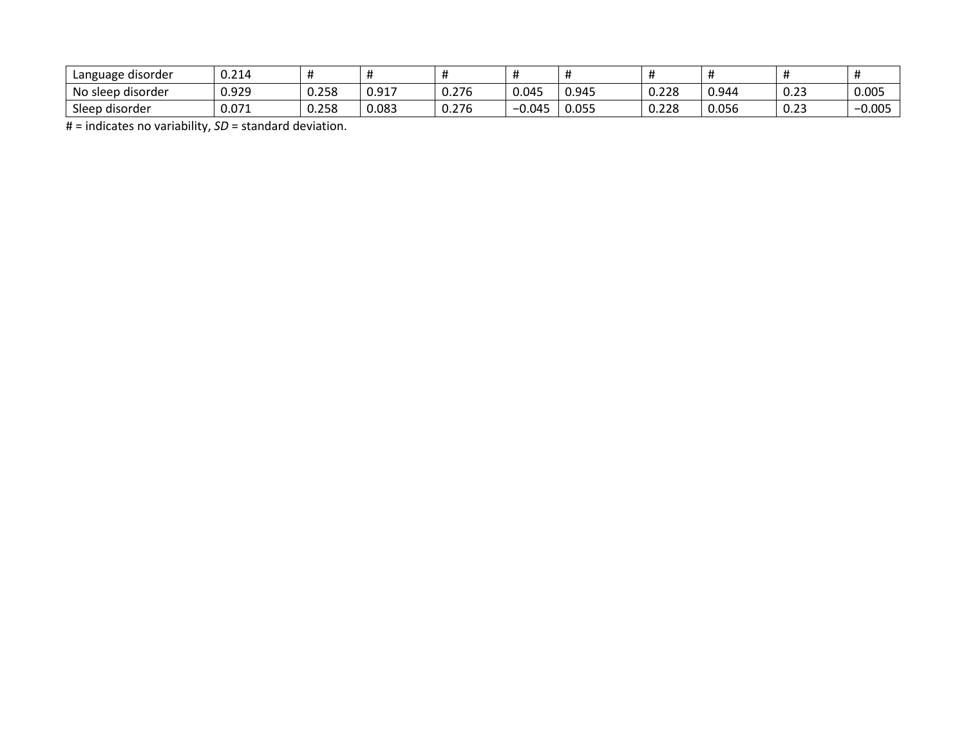| Language disorder | 0.214 |       |       |       |                   |       |       | $\bm{\pi}$ |                       |       |
|-------------------|-------|-------|-------|-------|-------------------|-------|-------|------------|-----------------------|-------|
| No sleep disorder | 0.929 | 0.258 | 0.917 | 0.276 | 0.045             | 0.945 | 0.228 | 0.944      | $\sim$ $\sim$<br>∪.∠3 | 0.005 |
| Sleep disorder    | 0.071 | 0.258 | 0.083 | 0.276 | $0.04^\mathsf{T}$ | 0.055 | 0.228 | 0.056      | $\sim$ 22<br>∪.∠3     | 0.005 |

# = indicates no variability, *SD* = standard deviation.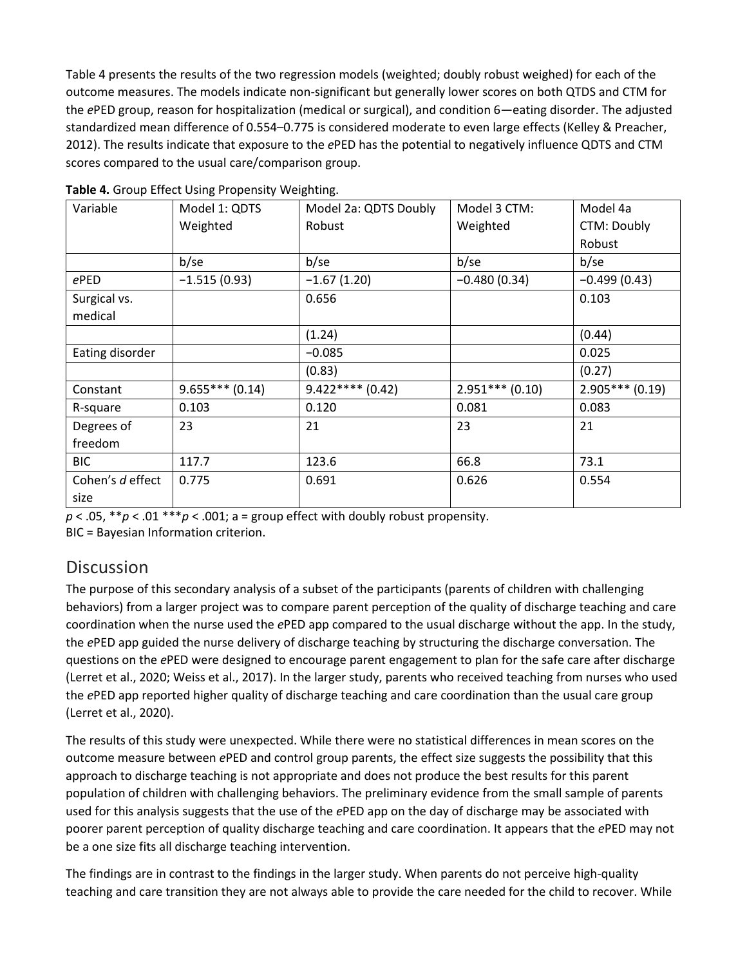Table 4 presents the results of the two regression models (weighted; doubly robust weighed) for each of the outcome measures. The models indicate non-significant but generally lower scores on both QTDS and CTM for the *e*PED group, reason for hospitalization (medical or surgical), and condition 6—eating disorder. The adjusted standardized mean difference of 0.554–0.775 is considered moderate to even large effects (Kelley & Preacher, 2012). The results indicate that exposure to the *e*PED has the potential to negatively influence QDTS and CTM scores compared to the usual care/comparison group.

| Variable         | Model 1: QDTS    | Model 2a: QDTS Doubly | Model 3 CTM:      | Model 4a         |
|------------------|------------------|-----------------------|-------------------|------------------|
|                  | Weighted         | Robust                | Weighted          | CTM: Doubly      |
|                  |                  |                       |                   | Robust           |
|                  | b/se             | b/se                  | b/se              | b/se             |
| ePED             | $-1.515(0.93)$   | $-1.67(1.20)$         | $-0.480(0.34)$    | $-0.499(0.43)$   |
| Surgical vs.     |                  | 0.656                 |                   | 0.103            |
| medical          |                  |                       |                   |                  |
|                  |                  | (1.24)                |                   | (0.44)           |
| Eating disorder  |                  | $-0.085$              |                   | 0.025            |
|                  |                  | (0.83)                |                   | (0.27)           |
| Constant         | $9.655***(0.14)$ | $9.422***(0.42)$      | $2.951***$ (0.10) | $2.905***(0.19)$ |
| R-square         | 0.103            | 0.120                 | 0.081             | 0.083            |
| Degrees of       | 23               | 21                    | 23                | 21               |
| freedom          |                  |                       |                   |                  |
| <b>BIC</b>       | 117.7            | 123.6                 | 66.8              | 73.1             |
| Cohen's d effect | 0.775            | 0.691                 | 0.626             | 0.554            |
| size             |                  |                       |                   |                  |

**Table 4.** Group Effect Using Propensity Weighting.

 $p < .05$ ,  $* p < .01$   $** p < .001$ ; a = group effect with doubly robust propensity.

BIC = Bayesian Information criterion.

## **Discussion**

The purpose of this secondary analysis of a subset of the participants (parents of children with challenging behaviors) from a larger project was to compare parent perception of the quality of discharge teaching and care coordination when the nurse used the *e*PED app compared to the usual discharge without the app. In the study, the *e*PED app guided the nurse delivery of discharge teaching by structuring the discharge conversation. The questions on the *e*PED were designed to encourage parent engagement to plan for the safe care after discharge (Lerret et al., 2020; Weiss et al., 2017). In the larger study, parents who received teaching from nurses who used the *e*PED app reported higher quality of discharge teaching and care coordination than the usual care group (Lerret et al., 2020).

The results of this study were unexpected. While there were no statistical differences in mean scores on the outcome measure between *e*PED and control group parents, the effect size suggests the possibility that this approach to discharge teaching is not appropriate and does not produce the best results for this parent population of children with challenging behaviors. The preliminary evidence from the small sample of parents used for this analysis suggests that the use of the *e*PED app on the day of discharge may be associated with poorer parent perception of quality discharge teaching and care coordination. It appears that the *e*PED may not be a one size fits all discharge teaching intervention.

The findings are in contrast to the findings in the larger study. When parents do not perceive high-quality teaching and care transition they are not always able to provide the care needed for the child to recover. While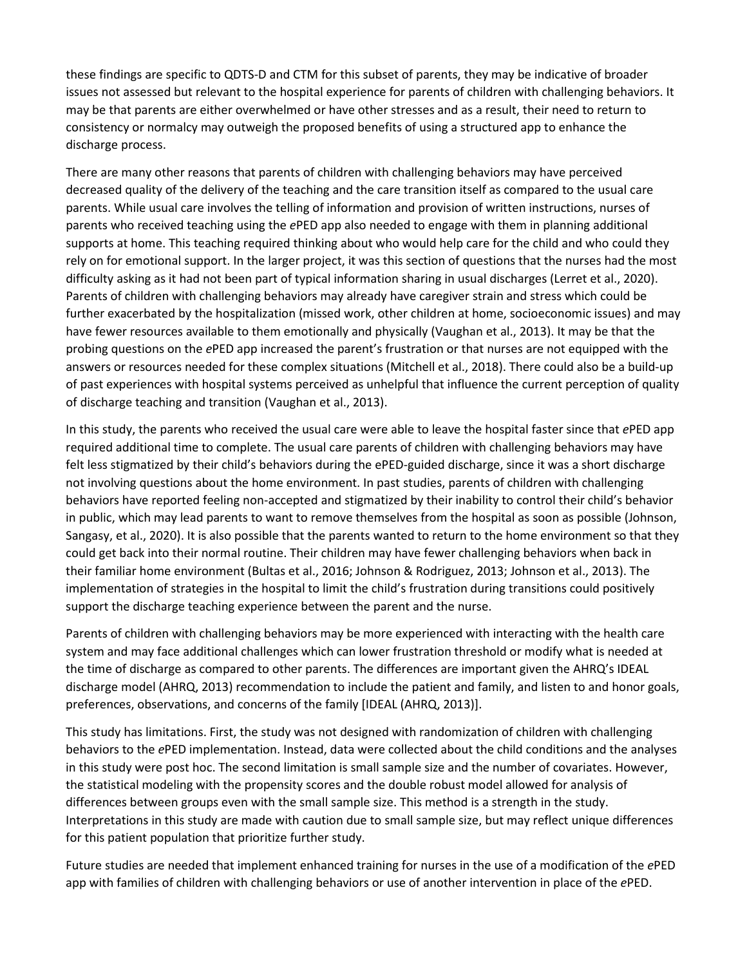these findings are specific to QDTS-D and CTM for this subset of parents, they may be indicative of broader issues not assessed but relevant to the hospital experience for parents of children with challenging behaviors. It may be that parents are either overwhelmed or have other stresses and as a result, their need to return to consistency or normalcy may outweigh the proposed benefits of using a structured app to enhance the discharge process.

There are many other reasons that parents of children with challenging behaviors may have perceived decreased quality of the delivery of the teaching and the care transition itself as compared to the usual care parents. While usual care involves the telling of information and provision of written instructions, nurses of parents who received teaching using the *e*PED app also needed to engage with them in planning additional supports at home. This teaching required thinking about who would help care for the child and who could they rely on for emotional support. In the larger project, it was this section of questions that the nurses had the most difficulty asking as it had not been part of typical information sharing in usual discharges (Lerret et al., 2020). Parents of children with challenging behaviors may already have caregiver strain and stress which could be further exacerbated by the hospitalization (missed work, other children at home, socioeconomic issues) and may have fewer resources available to them emotionally and physically (Vaughan et al., 2013). It may be that the probing questions on the *e*PED app increased the parent's frustration or that nurses are not equipped with the answers or resources needed for these complex situations (Mitchell et al., 2018). There could also be a build-up of past experiences with hospital systems perceived as unhelpful that influence the current perception of quality of discharge teaching and transition (Vaughan et al., 2013).

In this study, the parents who received the usual care were able to leave the hospital faster since that *e*PED app required additional time to complete. The usual care parents of children with challenging behaviors may have felt less stigmatized by their child's behaviors during the ePED-guided discharge, since it was a short discharge not involving questions about the home environment. In past studies, parents of children with challenging behaviors have reported feeling non-accepted and stigmatized by their inability to control their child's behavior in public, which may lead parents to want to remove themselves from the hospital as soon as possible (Johnson, Sangasy, et al., 2020). It is also possible that the parents wanted to return to the home environment so that they could get back into their normal routine. Their children may have fewer challenging behaviors when back in their familiar home environment (Bultas et al., 2016; Johnson & Rodriguez, 2013; Johnson et al., 2013). The implementation of strategies in the hospital to limit the child's frustration during transitions could positively support the discharge teaching experience between the parent and the nurse.

Parents of children with challenging behaviors may be more experienced with interacting with the health care system and may face additional challenges which can lower frustration threshold or modify what is needed at the time of discharge as compared to other parents. The differences are important given the AHRQ's IDEAL discharge model (AHRQ, 2013) recommendation to include the patient and family, and listen to and honor goals, preferences, observations, and concerns of the family [IDEAL (AHRQ, 2013)].

This study has limitations. First, the study was not designed with randomization of children with challenging behaviors to the *e*PED implementation. Instead, data were collected about the child conditions and the analyses in this study were post hoc. The second limitation is small sample size and the number of covariates. However, the statistical modeling with the propensity scores and the double robust model allowed for analysis of differences between groups even with the small sample size. This method is a strength in the study. Interpretations in this study are made with caution due to small sample size, but may reflect unique differences for this patient population that prioritize further study.

Future studies are needed that implement enhanced training for nurses in the use of a modification of the *e*PED app with families of children with challenging behaviors or use of another intervention in place of the *e*PED.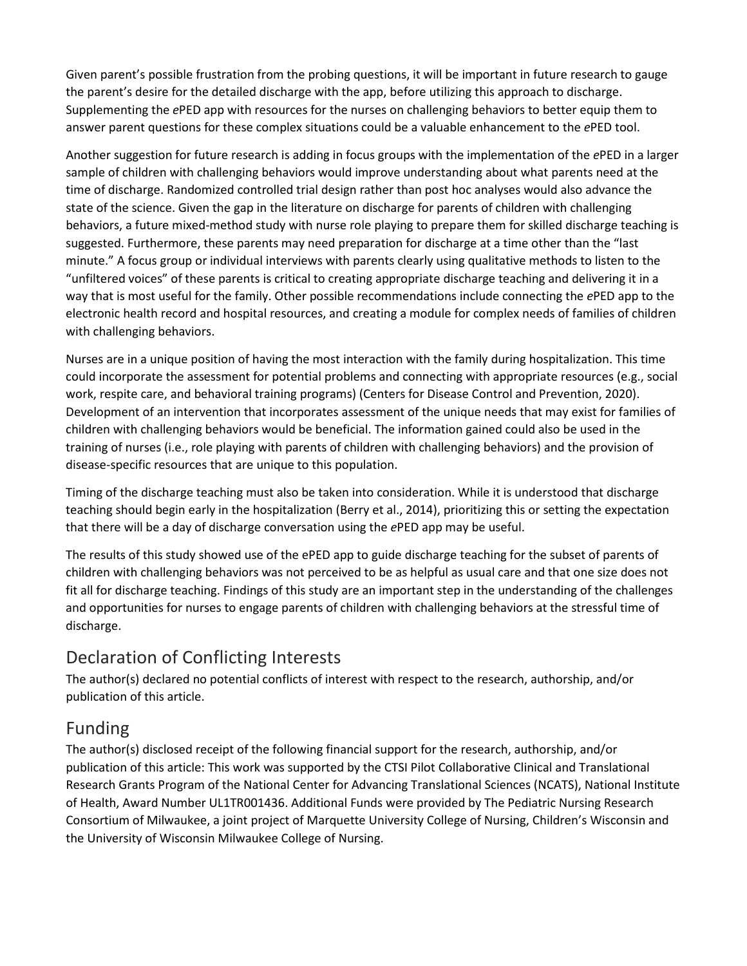Given parent's possible frustration from the probing questions, it will be important in future research to gauge the parent's desire for the detailed discharge with the app, before utilizing this approach to discharge. Supplementing the *e*PED app with resources for the nurses on challenging behaviors to better equip them to answer parent questions for these complex situations could be a valuable enhancement to the *e*PED tool.

Another suggestion for future research is adding in focus groups with the implementation of the *e*PED in a larger sample of children with challenging behaviors would improve understanding about what parents need at the time of discharge. Randomized controlled trial design rather than post hoc analyses would also advance the state of the science. Given the gap in the literature on discharge for parents of children with challenging behaviors, a future mixed-method study with nurse role playing to prepare them for skilled discharge teaching is suggested. Furthermore, these parents may need preparation for discharge at a time other than the "last minute." A focus group or individual interviews with parents clearly using qualitative methods to listen to the "unfiltered voices" of these parents is critical to creating appropriate discharge teaching and delivering it in a way that is most useful for the family. Other possible recommendations include connecting the *e*PED app to the electronic health record and hospital resources, and creating a module for complex needs of families of children with challenging behaviors.

Nurses are in a unique position of having the most interaction with the family during hospitalization. This time could incorporate the assessment for potential problems and connecting with appropriate resources (e.g., social work, respite care, and behavioral training programs) (Centers for Disease Control and Prevention, 2020). Development of an intervention that incorporates assessment of the unique needs that may exist for families of children with challenging behaviors would be beneficial. The information gained could also be used in the training of nurses (i.e., role playing with parents of children with challenging behaviors) and the provision of disease-specific resources that are unique to this population.

Timing of the discharge teaching must also be taken into consideration. While it is understood that discharge teaching should begin early in the hospitalization (Berry et al., 2014), prioritizing this or setting the expectation that there will be a day of discharge conversation using the *e*PED app may be useful.

The results of this study showed use of the ePED app to guide discharge teaching for the subset of parents of children with challenging behaviors was not perceived to be as helpful as usual care and that one size does not fit all for discharge teaching. Findings of this study are an important step in the understanding of the challenges and opportunities for nurses to engage parents of children with challenging behaviors at the stressful time of discharge.

# Declaration of Conflicting Interests

The author(s) declared no potential conflicts of interest with respect to the research, authorship, and/or publication of this article.

# Funding

The author(s) disclosed receipt of the following financial support for the research, authorship, and/or publication of this article: This work was supported by the CTSI Pilot Collaborative Clinical and Translational Research Grants Program of the National Center for Advancing Translational Sciences (NCATS), National Institute of Health, Award Number UL1TR001436. Additional Funds were provided by The Pediatric Nursing Research Consortium of Milwaukee, a joint project of Marquette University College of Nursing, Children's Wisconsin and the University of Wisconsin Milwaukee College of Nursing.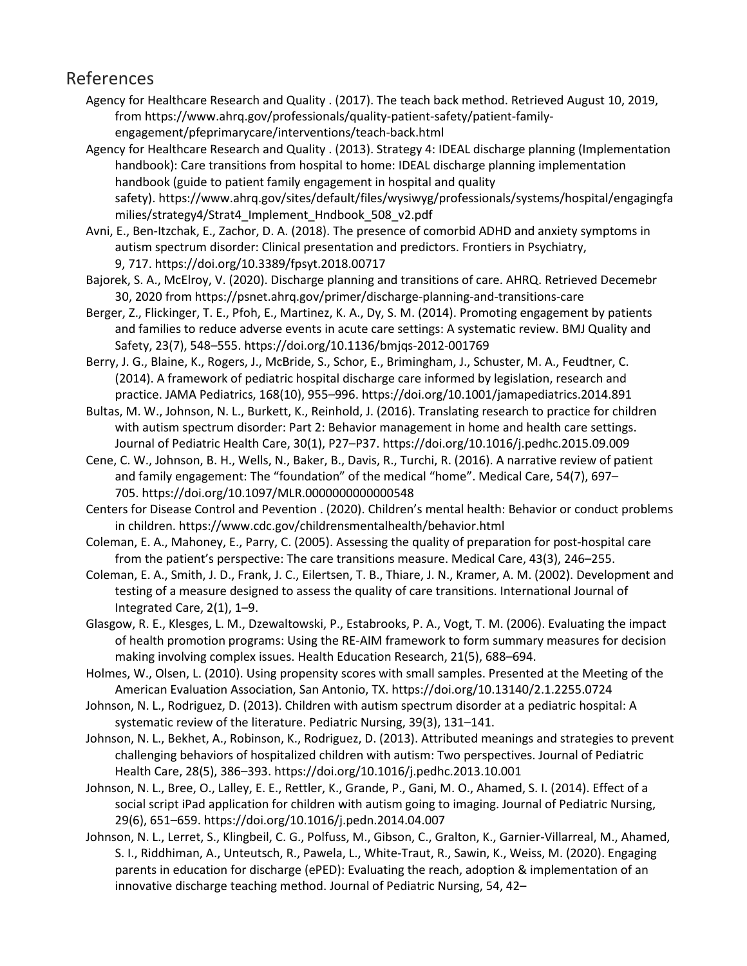## References

Agency for Healthcare Research and Quality . (2017). The teach back method. Retrieved August 10, 2019, from https://www.ahrq.gov/professionals/quality-patient-safety/patient-familyengagement/pfeprimarycare/interventions/teach-back.html

Agency for Healthcare Research and Quality . (2013). Strategy 4: IDEAL discharge planning (Implementation handbook): Care transitions from hospital to home: IDEAL discharge planning implementation handbook (guide to patient family engagement in hospital and quality safety). https://www.ahrq.gov/sites/default/files/wysiwyg/professionals/systems/hospital/engagingfa milies/strategy4/Strat4\_Implement\_Hndbook\_508\_v2.pdf

Avni, E., Ben-Itzchak, E., Zachor, D. A. (2018). The presence of comorbid ADHD and anxiety symptoms in autism spectrum disorder: Clinical presentation and predictors. Frontiers in Psychiatry, 9, 717. https://doi.org/10.3389/fpsyt.2018.00717

Bajorek, S. A., McElroy, V. (2020). Discharge planning and transitions of care. AHRQ. Retrieved Decemebr 30, 2020 from https://psnet.ahrq.gov/primer/discharge-planning-and-transitions-care

Berger, Z., Flickinger, T. E., Pfoh, E., Martinez, K. A., Dy, S. M. (2014). Promoting engagement by patients and families to reduce adverse events in acute care settings: A systematic review. BMJ Quality and Safety, 23(7), 548–555. https://doi.org/10.1136/bmjqs-2012-001769

Berry, J. G., Blaine, K., Rogers, J., McBride, S., Schor, E., Brimingham, J., Schuster, M. A., Feudtner, C. (2014). A framework of pediatric hospital discharge care informed by legislation, research and practice. JAMA Pediatrics, 168(10), 955–996. https://doi.org/10.1001/jamapediatrics.2014.891

Bultas, M. W., Johnson, N. L., Burkett, K., Reinhold, J. (2016). Translating research to practice for children with autism spectrum disorder: Part 2: Behavior management in home and health care settings. Journal of Pediatric Health Care, 30(1), P27–P37. https://doi.org/10.1016/j.pedhc.2015.09.009

Cene, C. W., Johnson, B. H., Wells, N., Baker, B., Davis, R., Turchi, R. (2016). A narrative review of patient and family engagement: The "foundation" of the medical "home". Medical Care, 54(7), 697– 705. https://doi.org/10.1097/MLR.0000000000000548

Centers for Disease Control and Pevention . (2020). Children's mental health: Behavior or conduct problems in children. https://www.cdc.gov/childrensmentalhealth/behavior.html

Coleman, E. A., Mahoney, E., Parry, C. (2005). Assessing the quality of preparation for post-hospital care from the patient's perspective: The care transitions measure. Medical Care, 43(3), 246–255.

Coleman, E. A., Smith, J. D., Frank, J. C., Eilertsen, T. B., Thiare, J. N., Kramer, A. M. (2002). Development and testing of a measure designed to assess the quality of care transitions. International Journal of Integrated Care, 2(1), 1–9.

Glasgow, R. E., Klesges, L. M., Dzewaltowski, P., Estabrooks, P. A., Vogt, T. M. (2006). Evaluating the impact of health promotion programs: Using the RE-AIM framework to form summary measures for decision making involving complex issues. Health Education Research, 21(5), 688–694.

Holmes, W., Olsen, L. (2010). Using propensity scores with small samples. Presented at the Meeting of the American Evaluation Association, San Antonio, TX. https://doi.org/10.13140/2.1.2255.0724

Johnson, N. L., Rodriguez, D. (2013). Children with autism spectrum disorder at a pediatric hospital: A systematic review of the literature. Pediatric Nursing, 39(3), 131–141.

Johnson, N. L., Bekhet, A., Robinson, K., Rodriguez, D. (2013). Attributed meanings and strategies to prevent challenging behaviors of hospitalized children with autism: Two perspectives. Journal of Pediatric Health Care, 28(5), 386–393. https://doi.org/10.1016/j.pedhc.2013.10.001

Johnson, N. L., Bree, O., Lalley, E. E., Rettler, K., Grande, P., Gani, M. O., Ahamed, S. I. (2014). Effect of a social script iPad application for children with autism going to imaging. Journal of Pediatric Nursing, 29(6), 651–659. https://doi.org/10.1016/j.pedn.2014.04.007

Johnson, N. L., Lerret, S., Klingbeil, C. G., Polfuss, M., Gibson, C., Gralton, K., Garnier-Villarreal, M., Ahamed, S. I., Riddhiman, A., Unteutsch, R., Pawela, L., White-Traut, R., Sawin, K., Weiss, M. (2020). Engaging parents in education for discharge (ePED): Evaluating the reach, adoption & implementation of an innovative discharge teaching method. Journal of Pediatric Nursing, 54, 42–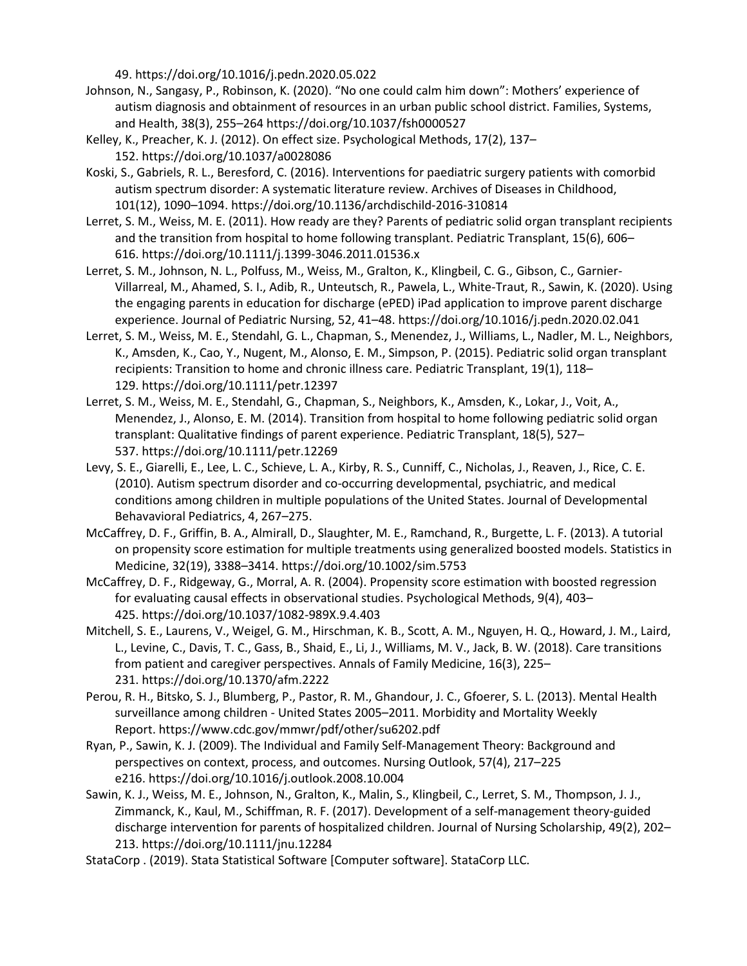49. https://doi.org/10.1016/j.pedn.2020.05.022

- Johnson, N., Sangasy, P., Robinson, K. (2020). "No one could calm him down": Mothers' experience of autism diagnosis and obtainment of resources in an urban public school district. Families, Systems, and Health, 38(3), 255–264 https://doi.org/10.1037/fsh0000527
- Kelley, K., Preacher, K. J. (2012). On effect size. Psychological Methods, 17(2), 137– 152. https://doi.org/10.1037/a0028086
- Koski, S., Gabriels, R. L., Beresford, C. (2016). Interventions for paediatric surgery patients with comorbid autism spectrum disorder: A systematic literature review. Archives of Diseases in Childhood, 101(12), 1090–1094. https://doi.org/10.1136/archdischild-2016-310814
- Lerret, S. M., Weiss, M. E. (2011). How ready are they? Parents of pediatric solid organ transplant recipients and the transition from hospital to home following transplant. Pediatric Transplant, 15(6), 606– 616. https://doi.org/10.1111/j.1399-3046.2011.01536.x
- Lerret, S. M., Johnson, N. L., Polfuss, M., Weiss, M., Gralton, K., Klingbeil, C. G., Gibson, C., Garnier-Villarreal, M., Ahamed, S. I., Adib, R., Unteutsch, R., Pawela, L., White-Traut, R., Sawin, K. (2020). Using the engaging parents in education for discharge (ePED) iPad application to improve parent discharge experience. Journal of Pediatric Nursing, 52, 41–48. https://doi.org/10.1016/j.pedn.2020.02.041
- Lerret, S. M., Weiss, M. E., Stendahl, G. L., Chapman, S., Menendez, J., Williams, L., Nadler, M. L., Neighbors, K., Amsden, K., Cao, Y., Nugent, M., Alonso, E. M., Simpson, P. (2015). Pediatric solid organ transplant recipients: Transition to home and chronic illness care. Pediatric Transplant, 19(1), 118– 129. https://doi.org/10.1111/petr.12397
- Lerret, S. M., Weiss, M. E., Stendahl, G., Chapman, S., Neighbors, K., Amsden, K., Lokar, J., Voit, A., Menendez, J., Alonso, E. M. (2014). Transition from hospital to home following pediatric solid organ transplant: Qualitative findings of parent experience. Pediatric Transplant, 18(5), 527– 537. https://doi.org/10.1111/petr.12269
- Levy, S. E., Giarelli, E., Lee, L. C., Schieve, L. A., Kirby, R. S., Cunniff, C., Nicholas, J., Reaven, J., Rice, C. E. (2010). Autism spectrum disorder and co-occurring developmental, psychiatric, and medical conditions among children in multiple populations of the United States. Journal of Developmental Behavavioral Pediatrics, 4, 267–275.
- McCaffrey, D. F., Griffin, B. A., Almirall, D., Slaughter, M. E., Ramchand, R., Burgette, L. F. (2013). A tutorial on propensity score estimation for multiple treatments using generalized boosted models. Statistics in Medicine, 32(19), 3388–3414. https://doi.org/10.1002/sim.5753
- McCaffrey, D. F., Ridgeway, G., Morral, A. R. (2004). Propensity score estimation with boosted regression for evaluating causal effects in observational studies. Psychological Methods, 9(4), 403– 425. https://doi.org/10.1037/1082-989X.9.4.403
- Mitchell, S. E., Laurens, V., Weigel, G. M., Hirschman, K. B., Scott, A. M., Nguyen, H. Q., Howard, J. M., Laird, L., Levine, C., Davis, T. C., Gass, B., Shaid, E., Li, J., Williams, M. V., Jack, B. W. (2018). Care transitions from patient and caregiver perspectives. Annals of Family Medicine, 16(3), 225– 231. https://doi.org/10.1370/afm.2222
- Perou, R. H., Bitsko, S. J., Blumberg, P., Pastor, R. M., Ghandour, J. C., Gfoerer, S. L. (2013). Mental Health surveillance among children - United States 2005–2011. Morbidity and Mortality Weekly Report. https://www.cdc.gov/mmwr/pdf/other/su6202.pdf
- Ryan, P., Sawin, K. J. (2009). The Individual and Family Self-Management Theory: Background and perspectives on context, process, and outcomes. Nursing Outlook, 57(4), 217–225 e216. https://doi.org/10.1016/j.outlook.2008.10.004
- Sawin, K. J., Weiss, M. E., Johnson, N., Gralton, K., Malin, S., Klingbeil, C., Lerret, S. M., Thompson, J. J., Zimmanck, K., Kaul, M., Schiffman, R. F. (2017). Development of a self-management theory-guided discharge intervention for parents of hospitalized children. Journal of Nursing Scholarship, 49(2), 202– 213. https://doi.org/10.1111/jnu.12284
- StataCorp . (2019). Stata Statistical Software [Computer software]. StataCorp LLC.